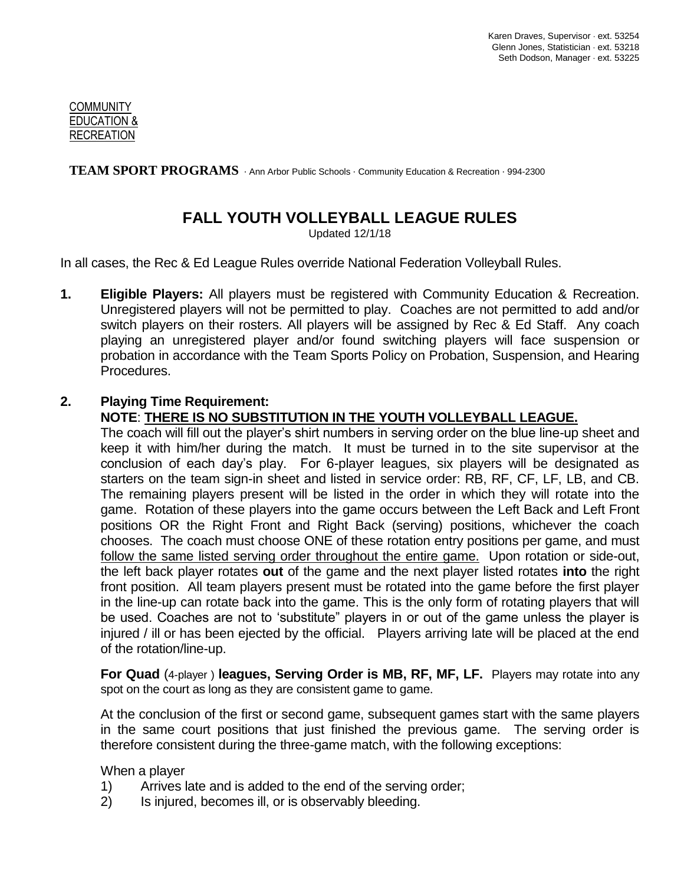#### **COMMUNITY** EDUCATION & RECREATION

TEAM SPORT PROGRAMS Ann Arbor Public Schools · Community Education & Recreation · 994-2300

# **FALL YOUTH VOLLEYBALL LEAGUE RULES**

Updated 12/1/18

In all cases, the Rec & Ed League Rules override National Federation Volleyball Rules.

**1. Eligible Players:** All players must be registered with Community Education & Recreation. Unregistered players will not be permitted to play. Coaches are not permitted to add and/or switch players on their rosters. All players will be assigned by Rec & Ed Staff. Any coach playing an unregistered player and/or found switching players will face suspension or probation in accordance with the Team Sports Policy on Probation, Suspension, and Hearing Procedures.

#### **2. Playing Time Requirement: NOTE**: **THERE IS NO SUBSTITUTION IN THE YOUTH VOLLEYBALL LEAGUE.**

The coach will fill out the player's shirt numbers in serving order on the blue line-up sheet and keep it with him/her during the match. It must be turned in to the site supervisor at the conclusion of each day's play. For 6-player leagues, six players will be designated as starters on the team sign-in sheet and listed in service order: RB, RF, CF, LF, LB, and CB. The remaining players present will be listed in the order in which they will rotate into the game. Rotation of these players into the game occurs between the Left Back and Left Front positions OR the Right Front and Right Back (serving) positions, whichever the coach chooses. The coach must choose ONE of these rotation entry positions per game, and must follow the same listed serving order throughout the entire game. Upon rotation or side-out, the left back player rotates **out** of the game and the next player listed rotates **into** the right front position. All team players present must be rotated into the game before the first player in the line-up can rotate back into the game. This is the only form of rotating players that will be used. Coaches are not to 'substitute" players in or out of the game unless the player is injured / ill or has been ejected by the official. Players arriving late will be placed at the end of the rotation/line-up.

**For Quad** (4-player ) **leagues, Serving Order is MB, RF, MF, LF.** Players may rotate into any spot on the court as long as they are consistent game to game.

At the conclusion of the first or second game, subsequent games start with the same players in the same court positions that just finished the previous game. The serving order is therefore consistent during the three-game match, with the following exceptions:

When a player

- 1) Arrives late and is added to the end of the serving order;
- 2) Is injured, becomes ill, or is observably bleeding.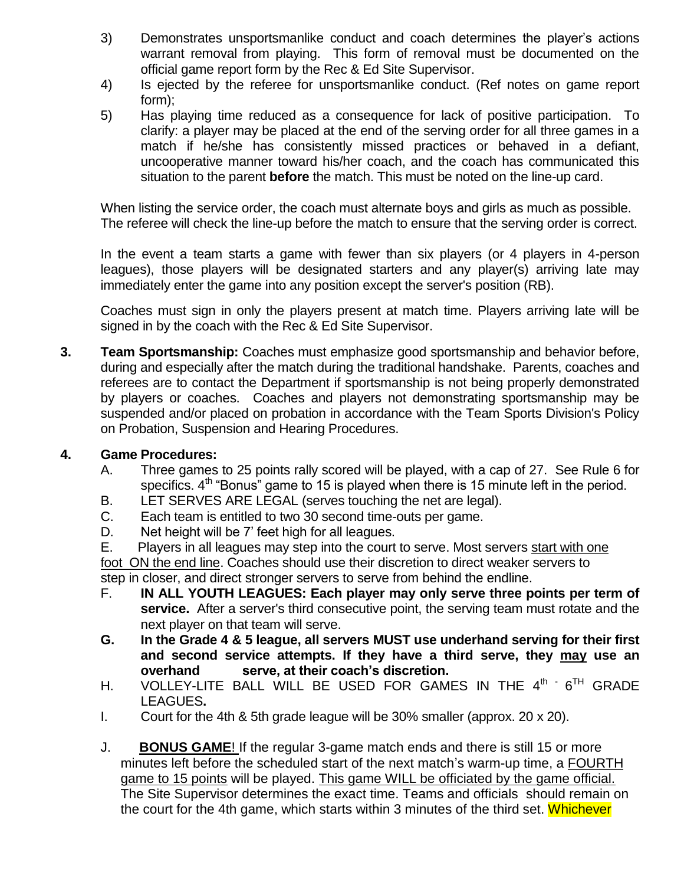- 3) Demonstrates unsportsmanlike conduct and coach determines the player's actions warrant removal from playing. This form of removal must be documented on the official game report form by the Rec & Ed Site Supervisor.
- 4) Is ejected by the referee for unsportsmanlike conduct. (Ref notes on game report form);
- 5) Has playing time reduced as a consequence for lack of positive participation. To clarify: a player may be placed at the end of the serving order for all three games in a match if he/she has consistently missed practices or behaved in a defiant, uncooperative manner toward his/her coach, and the coach has communicated this situation to the parent **before** the match. This must be noted on the line-up card.

When listing the service order, the coach must alternate boys and girls as much as possible. The referee will check the line-up before the match to ensure that the serving order is correct.

In the event a team starts a game with fewer than six players (or 4 players in 4-person leagues), those players will be designated starters and any player(s) arriving late may immediately enter the game into any position except the server's position (RB).

Coaches must sign in only the players present at match time. Players arriving late will be signed in by the coach with the Rec & Ed Site Supervisor.

**3. Team Sportsmanship:** Coaches must emphasize good sportsmanship and behavior before, during and especially after the match during the traditional handshake. Parents, coaches and referees are to contact the Department if sportsmanship is not being properly demonstrated by players or coaches. Coaches and players not demonstrating sportsmanship may be suspended and/or placed on probation in accordance with the Team Sports Division's Policy on Probation, Suspension and Hearing Procedures.

# **4. Game Procedures:**

- A. Three games to 25 points rally scored will be played, with a cap of 27. See Rule 6 for specifics.  $4<sup>th</sup>$  "Bonus" game to 15 is played when there is 15 minute left in the period.
- B. LET SERVES ARE LEGAL (serves touching the net are legal).
- C. Each team is entitled to two 30 second time-outs per game.
- D. Net height will be 7' feet high for all leagues.
- E. Players in all leagues may step into the court to serve. Most servers start with one

foot ON the end line. Coaches should use their discretion to direct weaker servers to step in closer, and direct stronger servers to serve from behind the endline.

- F. **IN ALL YOUTH LEAGUES: Each player may only serve three points per term of service.** After a server's third consecutive point, the serving team must rotate and the next player on that team will serve.
- **G. In the Grade 4 & 5 league, all servers MUST use underhand serving for their first and second service attempts. If they have a third serve, they may use an overhand serve, at their coach's discretion.**
- H. VOLLEY-LITE BALL WILL BE USED FOR GAMES IN THE  $4^{\text{th}}$  6<sup>TH</sup> GRADE LEAGUES**.**
- I. Court for the 4th & 5th grade league will be 30% smaller (approx. 20 x 20).
- J. **BONUS GAME**! If the regular 3-game match ends and there is still 15 or more minutes left before the scheduled start of the next match's warm-up time, a FOURTH game to 15 points will be played. This game WILL be officiated by the game official. The Site Supervisor determines the exact time. Teams and officials should remain on the court for the 4th game, which starts within 3 minutes of the third set. Whichever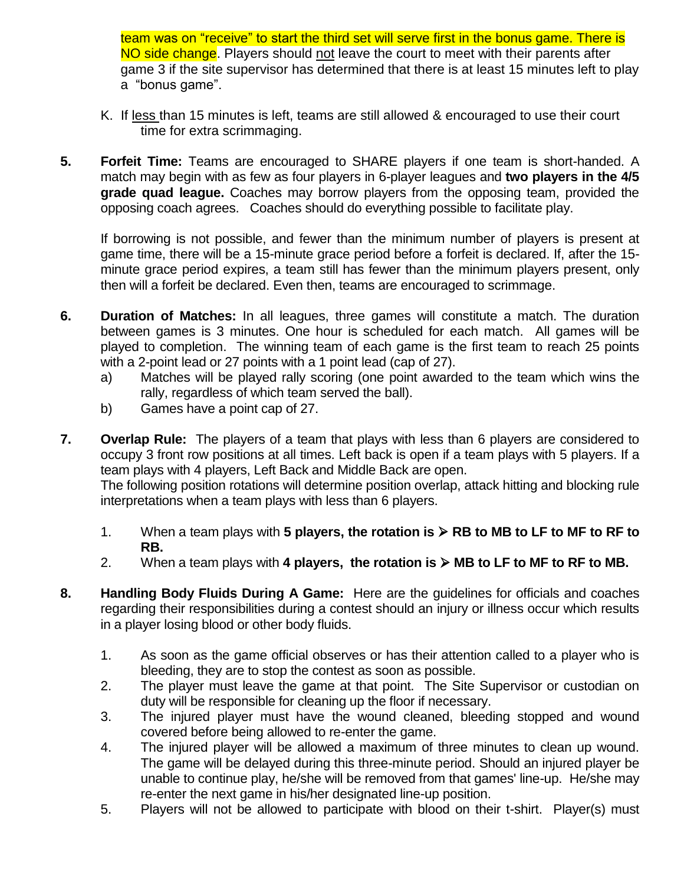team was on "receive" to start the third set will serve first in the bonus game. There is NO side change. Players should not leave the court to meet with their parents after game 3 if the site supervisor has determined that there is at least 15 minutes left to play a "bonus game".

- K. If less than 15 minutes is left, teams are still allowed & encouraged to use their court time for extra scrimmaging.
- **5. Forfeit Time:** Teams are encouraged to SHARE players if one team is short-handed. A match may begin with as few as four players in 6-player leagues and **two players in the 4/5 grade quad league.** Coaches may borrow players from the opposing team, provided the opposing coach agrees. Coaches should do everything possible to facilitate play.

If borrowing is not possible, and fewer than the minimum number of players is present at game time, there will be a 15-minute grace period before a forfeit is declared. If, after the 15 minute grace period expires, a team still has fewer than the minimum players present, only then will a forfeit be declared. Even then, teams are encouraged to scrimmage.

- **6. Duration of Matches:** In all leagues, three games will constitute a match. The duration between games is 3 minutes. One hour is scheduled for each match. All games will be played to completion. The winning team of each game is the first team to reach 25 points with a 2-point lead or 27 points with a 1 point lead (cap of 27).
	- a) Matches will be played rally scoring (one point awarded to the team which wins the rally, regardless of which team served the ball).
	- b) Games have a point cap of 27.

**7. Overlap Rule:** The players of a team that plays with less than 6 players are considered to occupy 3 front row positions at all times. Left back is open if a team plays with 5 players. If a team plays with 4 players, Left Back and Middle Back are open.

The following position rotations will determine position overlap, attack hitting and blocking rule interpretations when a team plays with less than 6 players.

- 1. When a team plays with 5 players, the rotation is  $\triangleright$  RB to MB to LF to MF to RF to **RB.**
- 2. When a team plays with 4 players, the rotation is  $\triangleright$  MB to LF to MF to RF to MB.
- **8. Handling Body Fluids During A Game:** Here are the guidelines for officials and coaches regarding their responsibilities during a contest should an injury or illness occur which results in a player losing blood or other body fluids.
	- 1. As soon as the game official observes or has their attention called to a player who is bleeding, they are to stop the contest as soon as possible.
	- 2. The player must leave the game at that point. The Site Supervisor or custodian on duty will be responsible for cleaning up the floor if necessary.
	- 3. The injured player must have the wound cleaned, bleeding stopped and wound covered before being allowed to re-enter the game.
	- 4. The injured player will be allowed a maximum of three minutes to clean up wound. The game will be delayed during this three-minute period. Should an injured player be unable to continue play, he/she will be removed from that games' line-up. He/she may re-enter the next game in his/her designated line-up position.
	- 5. Players will not be allowed to participate with blood on their t-shirt. Player(s) must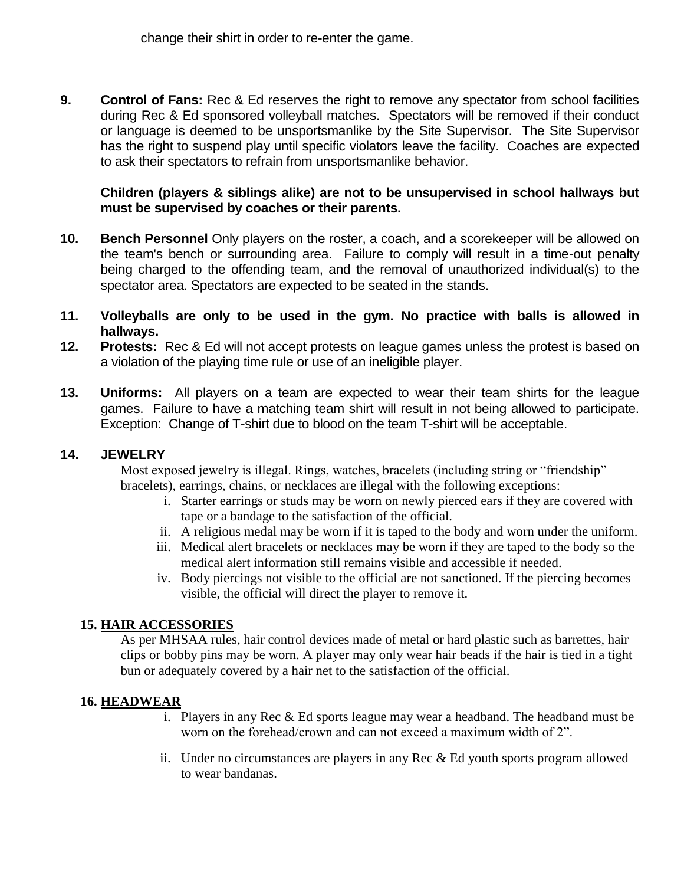**9. Control of Fans:** Rec & Ed reserves the right to remove any spectator from school facilities during Rec & Ed sponsored volleyball matches. Spectators will be removed if their conduct or language is deemed to be unsportsmanlike by the Site Supervisor. The Site Supervisor has the right to suspend play until specific violators leave the facility. Coaches are expected to ask their spectators to refrain from unsportsmanlike behavior.

### **Children (players & siblings alike) are not to be unsupervised in school hallways but must be supervised by coaches or their parents.**

- **10. Bench Personnel** Only players on the roster, a coach, and a scorekeeper will be allowed on the team's bench or surrounding area. Failure to comply will result in a time-out penalty being charged to the offending team, and the removal of unauthorized individual(s) to the spectator area. Spectators are expected to be seated in the stands.
- **11. Volleyballs are only to be used in the gym. No practice with balls is allowed in hallways.**
- **12. Protests:** Rec & Ed will not accept protests on league games unless the protest is based on a violation of the playing time rule or use of an ineligible player.
- **13. Uniforms:** All players on a team are expected to wear their team shirts for the league games. Failure to have a matching team shirt will result in not being allowed to participate. Exception: Change of T-shirt due to blood on the team T-shirt will be acceptable.

# **14. JEWELRY**

Most exposed jewelry is illegal. Rings, watches, bracelets (including string or "friendship" bracelets), earrings, chains, or necklaces are illegal with the following exceptions:

- i. Starter earrings or studs may be worn on newly pierced ears if they are covered with tape or a bandage to the satisfaction of the official.
- ii. A religious medal may be worn if it is taped to the body and worn under the uniform.
- iii. Medical alert bracelets or necklaces may be worn if they are taped to the body so the medical alert information still remains visible and accessible if needed.
- iv. Body piercings not visible to the official are not sanctioned. If the piercing becomes visible, the official will direct the player to remove it.

#### **15. HAIR ACCESSORIES**

As per MHSAA rules, hair control devices made of metal or hard plastic such as barrettes, hair clips or bobby pins may be worn. A player may only wear hair beads if the hair is tied in a tight bun or adequately covered by a hair net to the satisfaction of the official.

# **16. HEADWEAR**

- i. Players in any Rec & Ed sports league may wear a headband. The headband must be worn on the forehead/crown and can not exceed a maximum width of 2".
- ii. Under no circumstances are players in any Rec & Ed youth sports program allowed to wear bandanas.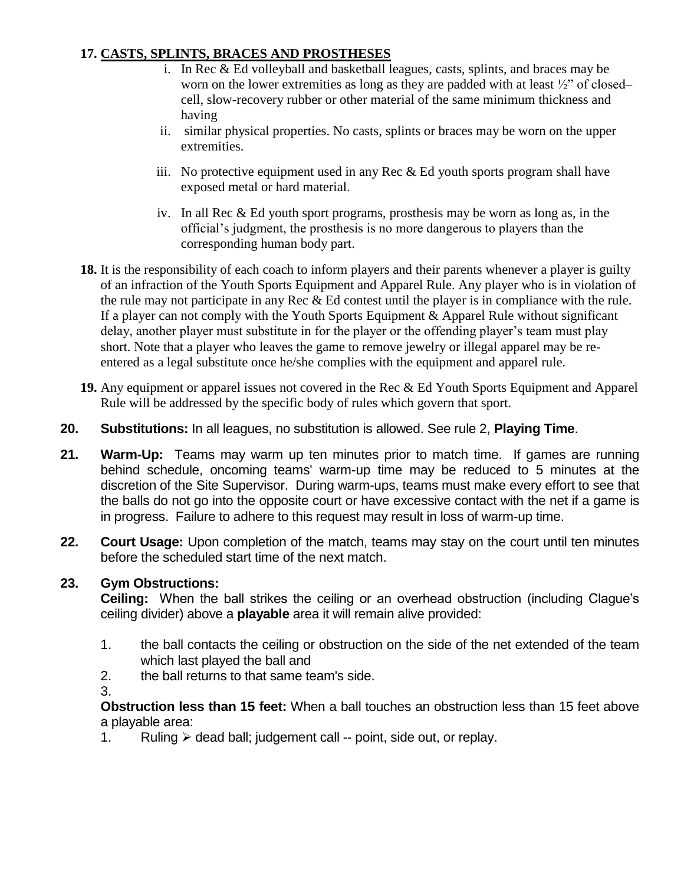### **17. CASTS, SPLINTS, BRACES AND PROSTHESES**

- i. In Rec & Ed volleyball and basketball leagues, casts, splints, and braces may be worn on the lower extremities as long as they are padded with at least  $\frac{1}{2}$ " of closed– cell, slow-recovery rubber or other material of the same minimum thickness and having
- ii. similar physical properties. No casts, splints or braces may be worn on the upper extremities.
- iii. No protective equipment used in any Rec  $& Ed$  youth sports program shall have exposed metal or hard material.
- iv. In all Rec & Ed youth sport programs, prosthesis may be worn as long as, in the official's judgment, the prosthesis is no more dangerous to players than the corresponding human body part.
- **18.** It is the responsibility of each coach to inform players and their parents whenever a player is guilty of an infraction of the Youth Sports Equipment and Apparel Rule. Any player who is in violation of the rule may not participate in any Rec & Ed contest until the player is in compliance with the rule. If a player can not comply with the Youth Sports Equipment & Apparel Rule without significant delay, another player must substitute in for the player or the offending player's team must play short. Note that a player who leaves the game to remove jewelry or illegal apparel may be reentered as a legal substitute once he/she complies with the equipment and apparel rule.
- **19.** Any equipment or apparel issues not covered in the Rec & Ed Youth Sports Equipment and Apparel Rule will be addressed by the specific body of rules which govern that sport.
- **20. Substitutions:** In all leagues, no substitution is allowed. See rule 2, **Playing Time**.
- **21. Warm-Up:** Teams may warm up ten minutes prior to match time. If games are running behind schedule, oncoming teams' warm-up time may be reduced to 5 minutes at the discretion of the Site Supervisor. During warm-ups, teams must make every effort to see that the balls do not go into the opposite court or have excessive contact with the net if a game is in progress. Failure to adhere to this request may result in loss of warm-up time.
- **22. Court Usage:** Upon completion of the match, teams may stay on the court until ten minutes before the scheduled start time of the next match.

#### **23. Gym Obstructions:**

**Ceiling:** When the ball strikes the ceiling or an overhead obstruction (including Clague's ceiling divider) above a **playable** area it will remain alive provided:

- 1. the ball contacts the ceiling or obstruction on the side of the net extended of the team which last played the ball and
- 2. the ball returns to that same team's side.
- 3.

**Obstruction less than 15 feet:** When a ball touches an obstruction less than 15 feet above a playable area:

1. Ruling  $\triangleright$  dead ball; judgement call -- point, side out, or replay.